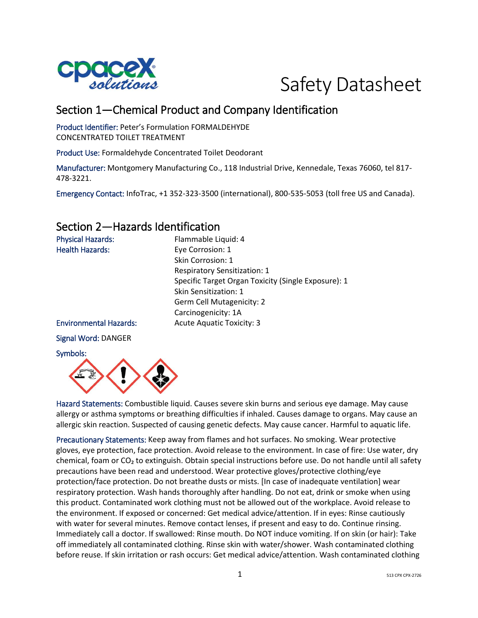



# Section 1—Chemical Product and Company Identification

Product Identifier: Peter's Formulation FORMALDEHYDE CONCENTRATED TOILET TREATMENT

Product Use: Formaldehyde Concentrated Toilet Deodorant

Manufacturer: Montgomery Manufacturing Co., 118 Industrial Drive, Kennedale, Texas 76060, tel 817- 478-3221.

Emergency Contact: InfoTrac, +1 352-323-3500 (international), 800-535-5053 (toll free US and Canada).

## Section 2—Hazards Identification

| <b>Physical Hazards:</b>      | Flammable Liquid: 4                                 |
|-------------------------------|-----------------------------------------------------|
| <b>Health Hazards:</b>        | Eye Corrosion: 1                                    |
|                               | Skin Corrosion: 1                                   |
|                               | <b>Respiratory Sensitization: 1</b>                 |
|                               | Specific Target Organ Toxicity (Single Exposure): 1 |
|                               | Skin Sensitization: 1                               |
|                               | Germ Cell Mutagenicity: 2                           |
|                               | Carcinogenicity: 1A                                 |
| <b>Environmental Hazards:</b> | <b>Acute Aquatic Toxicity: 3</b>                    |
| <b>Signal Word: DANGER</b>    |                                                     |
| Symbols:                      |                                                     |



Hazard Statements: Combustible liquid. Causes severe skin burns and serious eye damage. May cause allergy or asthma symptoms or breathing difficulties if inhaled. Causes damage to organs. May cause an allergic skin reaction. Suspected of causing genetic defects. May cause cancer. Harmful to aquatic life.

Precautionary Statements: Keep away from flames and hot surfaces. No smoking. Wear protective gloves, eye protection, face protection. Avoid release to the environment. In case of fire: Use water, dry chemical, foam or  $CO<sub>2</sub>$  to extinguish. Obtain special instructions before use. Do not handle until all safety precautions have been read and understood. Wear protective gloves/protective clothing/eye protection/face protection. Do not breathe dusts or mists. [In case of inadequate ventilation] wear respiratory protection. Wash hands thoroughly after handling. Do not eat, drink or smoke when using this product. Contaminated work clothing must not be allowed out of the workplace. Avoid release to the environment. If exposed or concerned: Get medical advice/attention. If in eyes: Rinse cautiously with water for several minutes. Remove contact lenses, if present and easy to do. Continue rinsing. Immediately call a doctor. If swallowed: Rinse mouth. Do NOT induce vomiting. If on skin (or hair): Take off immediately all contaminated clothing. Rinse skin with water/shower. Wash contaminated clothing before reuse. If skin irritation or rash occurs: Get medical advice/attention. Wash contaminated clothing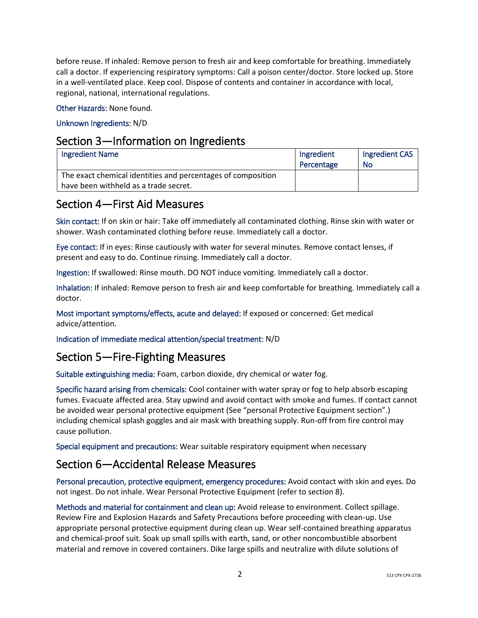before reuse. If inhaled: Remove person to fresh air and keep comfortable for breathing. Immediately call a doctor. If experiencing respiratory symptoms: Call a poison center/doctor. Store locked up. Store in a well-ventilated place. Keep cool. Dispose of contents and container in accordance with local, regional, national, international regulations.

Other Hazards: None found.

Unknown Ingredients: N/D

## Section 3—Information on Ingredients

| <b>Ingredient Name</b>                                       | Ingredient<br>Percentage | Ingredient CAS<br>No |
|--------------------------------------------------------------|--------------------------|----------------------|
| The exact chemical identities and percentages of composition |                          |                      |
| have been withheld as a trade secret.                        |                          |                      |

## Section 4—First Aid Measures

Skin contact: If on skin or hair: Take off immediately all contaminated clothing. Rinse skin with water or shower. Wash contaminated clothing before reuse. Immediately call a doctor.

Eye contact: If in eyes: Rinse cautiously with water for several minutes. Remove contact lenses, if present and easy to do. Continue rinsing. Immediately call a doctor.

Ingestion: If swallowed: Rinse mouth. DO NOT induce vomiting. Immediately call a doctor.

Inhalation: If inhaled: Remove person to fresh air and keep comfortable for breathing. Immediately call a doctor.

Most important symptoms/effects, acute and delayed: If exposed or concerned: Get medical advice/attention.

Indication of immediate medical attention/special treatment: N/D

## Section 5—Fire-Fighting Measures

Suitable extinguishing media: Foam, carbon dioxide, dry chemical or water fog.

Specific hazard arising from chemicals: Cool container with water spray or fog to help absorb escaping fumes. Evacuate affected area. Stay upwind and avoid contact with smoke and fumes. If contact cannot be avoided wear personal protective equipment (See "personal Protective Equipment section".) including chemical splash goggles and air mask with breathing supply. Run-off from fire control may cause pollution.

Special equipment and precautions: Wear suitable respiratory equipment when necessary

## Section 6—Accidental Release Measures

Personal precaution, protective equipment, emergency procedures: Avoid contact with skin and eyes. Do not ingest. Do not inhale. Wear Personal Protective Equipment (refer to section 8).

Methods and material for containment and clean up: Avoid release to environment. Collect spillage. Review Fire and Explosion Hazards and Safety Precautions before proceeding with clean-up. Use appropriate personal protective equipment during clean up. Wear self-contained breathing apparatus and chemical-proof suit. Soak up small spills with earth, sand, or other noncombustible absorbent material and remove in covered containers. Dike large spills and neutralize with dilute solutions of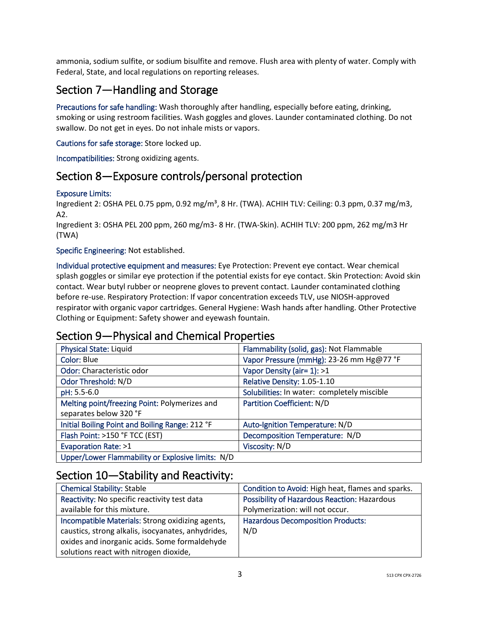ammonia, sodium sulfite, or sodium bisulfite and remove. Flush area with plenty of water. Comply with Federal, State, and local regulations on reporting releases.

# Section 7—Handling and Storage

Precautions for safe handling: Wash thoroughly after handling, especially before eating, drinking, smoking or using restroom facilities. Wash goggles and gloves. Launder contaminated clothing. Do not swallow. Do not get in eyes. Do not inhale mists or vapors.

Cautions for safe storage: Store locked up.

Incompatibilities: Strong oxidizing agents.

## Section 8—Exposure controls/personal protection

### Exposure Limits:

Ingredient 2: OSHA PEL 0.75 ppm, 0.92 mg/m<sup>3</sup>, 8 Hr. (TWA). ACHIH TLV: Ceiling: 0.3 ppm, 0.37 mg/m3, A2.

Ingredient 3: OSHA PEL 200 ppm, 260 mg/m3- 8 Hr. (TWA-Skin). ACHIH TLV: 200 ppm, 262 mg/m3 Hr (TWA)

### Specific Engineering: Not established.

Individual protective equipment and measures: Eye Protection: Prevent eye contact. Wear chemical splash goggles or similar eye protection if the potential exists for eye contact. Skin Protection: Avoid skin contact. Wear butyl rubber or neoprene gloves to prevent contact. Launder contaminated clothing before re-use. Respiratory Protection: If vapor concentration exceeds TLV, use NIOSH-approved respirator with organic vapor cartridges. General Hygiene: Wash hands after handling. Other Protective Clothing or Equipment: Safety shower and eyewash fountain.

### Section 9—Physical and Chemical Properties

| <b>Physical State: Liquid</b>                     | Flammability (solid, gas): Not Flammable    |
|---------------------------------------------------|---------------------------------------------|
| Color: Blue                                       | Vapor Pressure (mmHg): 23-26 mm Hg@77 °F    |
| Odor: Characteristic odor                         | Vapor Density (air= 1): >1                  |
| Odor Threshold: N/D                               | Relative Density: 1.05-1.10                 |
| pH: 5.5-6.0                                       | Solubilities: In water: completely miscible |
| Melting point/freezing Point: Polymerizes and     | Partition Coefficient: N/D                  |
| separates below 320 °F                            |                                             |
| Initial Boiling Point and Boiling Range: 212 °F   | Auto-Ignition Temperature: N/D              |
| Flash Point: >150 °F TCC (EST)                    | Decomposition Temperature: N/D              |
| <b>Evaporation Rate: &gt;1</b>                    | Viscosity: N/D                              |
| Upper/Lower Flammability or Explosive limits: N/D |                                             |

## Section 10—Stability and Reactivity:

| <b>Chemical Stability: Stable</b>                  | Condition to Avoid: High heat, flames and sparks. |
|----------------------------------------------------|---------------------------------------------------|
| Reactivity: No specific reactivity test data       | Possibility of Hazardous Reaction: Hazardous      |
| available for this mixture.                        | Polymerization: will not occur.                   |
| Incompatible Materials: Strong oxidizing agents,   | <b>Hazardous Decomposition Products:</b>          |
| caustics, strong alkalis, isocyanates, anhydrides, | N/D                                               |
| oxides and inorganic acids. Some formaldehyde      |                                                   |
| solutions react with nitrogen dioxide,             |                                                   |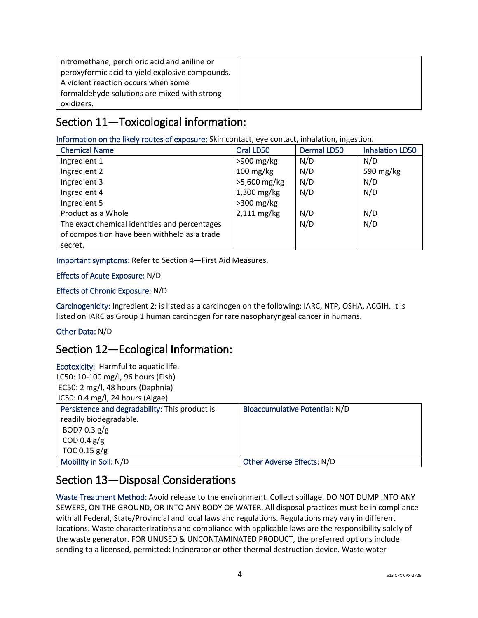| nitromethane, perchloric acid and aniline or    |  |
|-------------------------------------------------|--|
| peroxyformic acid to yield explosive compounds. |  |
| A violent reaction occurs when some             |  |
| formaldehyde solutions are mixed with strong    |  |
| oxidizers.                                      |  |

# Section 11—Toxicological information:

Information on the likely routes of exposure: Skin contact, eye contact, inhalation, ingestion.

| <b>Chemical Name</b>                          | Oral LD50           | <b>Dermal LD50</b> | <b>Inhalation LD50</b> |
|-----------------------------------------------|---------------------|--------------------|------------------------|
| Ingredient 1                                  | $>900$ mg/kg        | N/D                | N/D                    |
| Ingredient 2                                  | $100 \text{ mg/kg}$ | N/D                | 590 mg/kg              |
| Ingredient 3                                  | >5,600 mg/kg        | N/D                | N/D                    |
| Ingredient 4                                  | $1,300$ mg/kg       | N/D                | N/D                    |
| Ingredient 5                                  | $>300$ mg/kg        |                    |                        |
| Product as a Whole                            | $2,111$ mg/kg       | N/D                | N/D                    |
| The exact chemical identities and percentages |                     | N/D                | N/D                    |
| of composition have been withheld as a trade  |                     |                    |                        |
| secret.                                       |                     |                    |                        |

Important symptoms: Refer to Section 4—First Aid Measures.

### Effects of Acute Exposure: N/D

### Effects of Chronic Exposure: N/D

Carcinogenicity: Ingredient 2: is listed as a carcinogen on the following: IARC, NTP, OSHA, ACGIH. It is listed on IARC as Group 1 human carcinogen for rare nasopharyngeal cancer in humans.

### Other Data: N/D

## Section 12—Ecological Information:

Ecotoxicity: Harmful to aquatic life. LC50: 10-100 mg/l, 96 hours (Fish) EC50: 2 mg/l, 48 hours (Daphnia) IC50: 0.4 mg/l, 24 hours (Algae)

| Persistence and degradability: This product is | Bioaccumulative Potential: N/D |
|------------------------------------------------|--------------------------------|
| readily biodegradable.                         |                                |
| BOD7 0.3 $g/g$                                 |                                |
| COD 0.4 $g/g$                                  |                                |
| TOC 0.15 $g/g$                                 |                                |
| Mobility in Soil: N/D                          | Other Adverse Effects: N/D     |

## Section 13—Disposal Considerations

Waste Treatment Method: Avoid release to the environment. Collect spillage. DO NOT DUMP INTO ANY SEWERS, ON THE GROUND, OR INTO ANY BODY OF WATER. All disposal practices must be in compliance with all Federal, State/Provincial and local laws and regulations. Regulations may vary in different locations. Waste characterizations and compliance with applicable laws are the responsibility solely of the waste generator. FOR UNUSED & UNCONTAMINATED PRODUCT, the preferred options include sending to a licensed, permitted: Incinerator or other thermal destruction device. Waste water